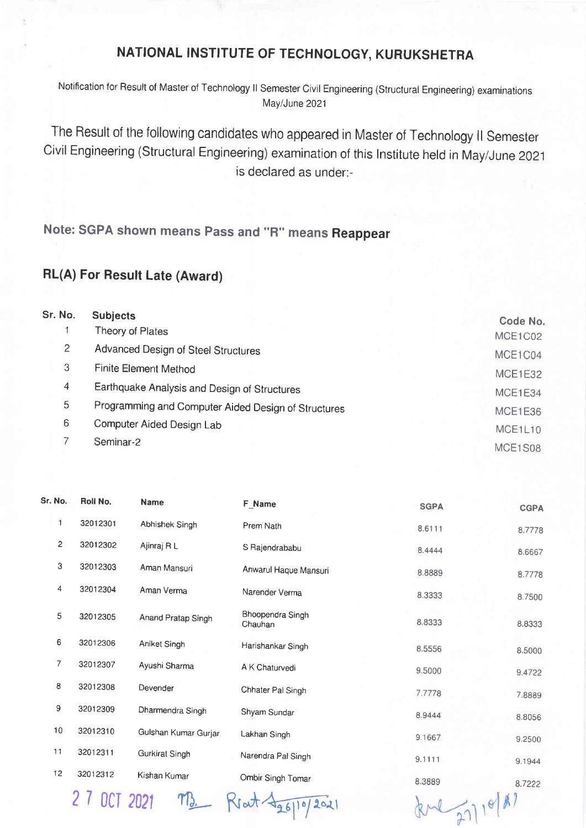## NATIONAL INSTITUTE OF TECHNOLOGY, KURUKSHETRA

Notification for Result of Master of Technology ll Semester Civil Engineering (Structural Engineering) examinations May/June 2021

The Result of the following candidates who appeared in Master of Technology ll Semester Civil Engineering (Structural Engineering) examination of this lnstitute held in MaylJune 2OZ1 is declared as under:-

Note: SGPA shown means pass and "R" means Reappear

## RL(A) For Result Late (Award)

| Sr. No.        | <b>Subjects</b>                                     | Code No. |
|----------------|-----------------------------------------------------|----------|
|                | Theory of Plates                                    | MCE1C02  |
| $\mathbf{2}$   | Advanced Design of Steel Structures                 | MCE1C04  |
| 3              | Finite Element Method                               | MCE1E32  |
| $\overline{4}$ | Earthquake Analysis and Design of Structures        | MCE1E34  |
| 5              | Programming and Computer Aided Design of Structures | MCE1E36  |
| 6              | Computer Aided Design Lab                           | MCE1L10  |
|                | Seminar-2                                           | MCE1S08  |

| Sr. No. | Roll No.     | <b>Name</b>          | F_Name                      | <b>SGPA</b> | <b>CGPA</b> |
|---------|--------------|----------------------|-----------------------------|-------------|-------------|
| 1       | 32012301     | Abhishek Singh       | Prem Nath                   | 8.6111      | 8.7778      |
| 2       | 32012302     | Ajinraj R L          | S Rajendrababu              | 8.4444      | 8.6667      |
| 3       | 32012303     | Aman Mansuri         | Anwarul Haque Mansuri       | 8.8889      | 8.7778      |
| 4       | 32012304     | Aman Verma           | Narender Verma              | 8.3333      | 8.7500      |
| 5       | 32012305     | Anand Pratap Singh   | Bhoopendra Singh<br>Chauhan | 8.8333      | 8.8333      |
| 6       | 32012306     | Aniket Singh         | Harishankar Singh           | 8.5556      | 8.5000      |
| 7       | 32012307     | Ayushi Sharma        | A K Chaturvedi              | 9.5000      | 9.4722      |
| $\bf8$  | 32012308     | Devender             | Chhater Pal Singh           | 7.7778      | 7.8889      |
| 9       | 32012309     | Dharmendra Singh     | Shyam Sundar                | 8.9444      | 8.8056      |
| 10      | 32012310     | Gulshan Kumar Gurjar | Lakhan Singh                | 9.1667      | 9.2500      |
| 11      | 32012311     | Gurkirat Singh       | Narendra Pal Singh          | 9.1111      | 9.1944      |
| 12      | 32012312     | Kishan Kumar         | Ombir Singh Tomar           | 8.3889      | 8.7222      |
|         | 2 / OCT 2021 | $M_{2}$              | 100                         |             | 10181       |

27 OCT 2021 M3. Rout 426/10/2021